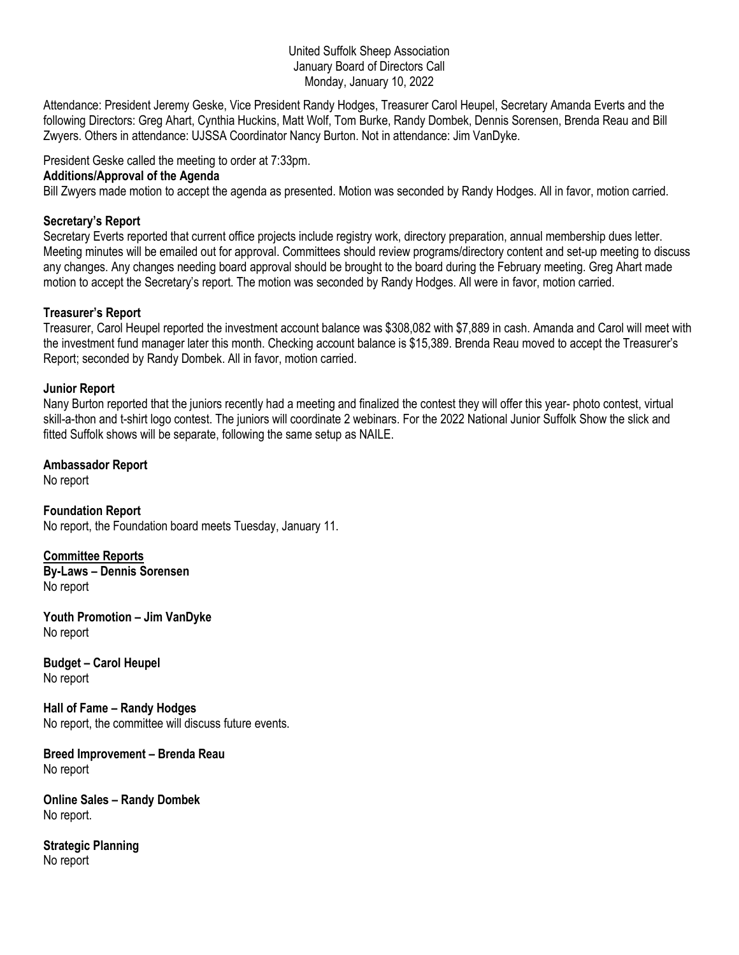#### United Suffolk Sheep Association January Board of Directors Call Monday, January 10, 2022

Attendance: President Jeremy Geske, Vice President Randy Hodges, Treasurer Carol Heupel, Secretary Amanda Everts and the following Directors: Greg Ahart, Cynthia Huckins, Matt Wolf, Tom Burke, Randy Dombek, Dennis Sorensen, Brenda Reau and Bill Zwyers. Others in attendance: UJSSA Coordinator Nancy Burton. Not in attendance: Jim VanDyke.

President Geske called the meeting to order at 7:33pm.

#### **Additions/Approval of the Agenda**

Bill Zwyers made motion to accept the agenda as presented. Motion was seconded by Randy Hodges. All in favor, motion carried.

## **Secretary's Report**

Secretary Everts reported that current office projects include registry work, directory preparation, annual membership dues letter. Meeting minutes will be emailed out for approval. Committees should review programs/directory content and set-up meeting to discuss any changes. Any changes needing board approval should be brought to the board during the February meeting. Greg Ahart made motion to accept the Secretary's report. The motion was seconded by Randy Hodges. All were in favor, motion carried.

# **Treasurer's Report**

Treasurer, Carol Heupel reported the investment account balance was \$308,082 with \$7,889 in cash. Amanda and Carol will meet with the investment fund manager later this month. Checking account balance is \$15,389. Brenda Reau moved to accept the Treasurer's Report; seconded by Randy Dombek. All in favor, motion carried.

## **Junior Report**

Nany Burton reported that the juniors recently had a meeting and finalized the contest they will offer this year- photo contest, virtual skill-a-thon and t-shirt logo contest. The juniors will coordinate 2 webinars. For the 2022 National Junior Suffolk Show the slick and fitted Suffolk shows will be separate, following the same setup as NAILE.

**Ambassador Report** No report

**Foundation Report** No report, the Foundation board meets Tuesday, January 11.

**Committee Reports By-Laws – Dennis Sorensen** No report

**Youth Promotion – Jim VanDyke** No report

**Budget – Carol Heupel** No report

**Hall of Fame – Randy Hodges** No report, the committee will discuss future events.

**Breed Improvement – Brenda Reau** No report

**Online Sales – Randy Dombek** No report.

**Strategic Planning** No report